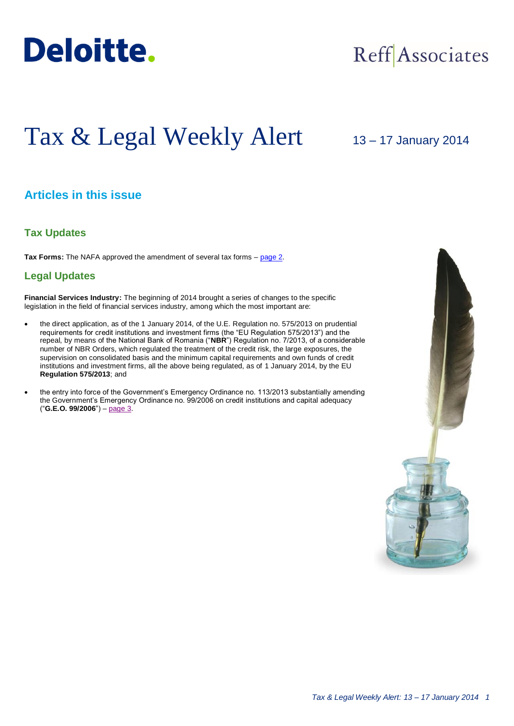

## Reff Associates

# Tax & Legal Weekly Alert

## 13 – 17 January 2014

## **Articles in this issue**

### **Tax Updates**

**Tax Forms:** The NAFA approved the amendment of several tax forms – [page 2.](#page-1-0)

## **Legal Updates**

**Financial Services Industry:** The beginning of 2014 brought a series of changes to the specific legislation in the field of financial services industry, among which the most important are:

- the direct application, as of the 1 January 2014, of the U.E. Regulation no. 575/2013 on prudential requirements for credit institutions and investment firms (the "EU Regulation 575/2013") and the repeal, by means of the National Bank of Romania ("**NBR**") Regulation no. 7/2013, of a considerable number of NBR Orders, which regulated the treatment of the credit risk, the large exposures, the supervision on consolidated basis and the minimum capital requirements and own funds of credit institutions and investment firms, all the above being regulated, as of 1 January 2014, by the EU **Regulation 575/2013**; and
- the entry into force of the Government's Emergency Ordinance no. 113/2013 substantially amending the Government's Emergency Ordinance no. 99/2006 on credit institutions and capital adequacy ("**G.E.O. 99/2006**") – [page 3.](#page-2-0)

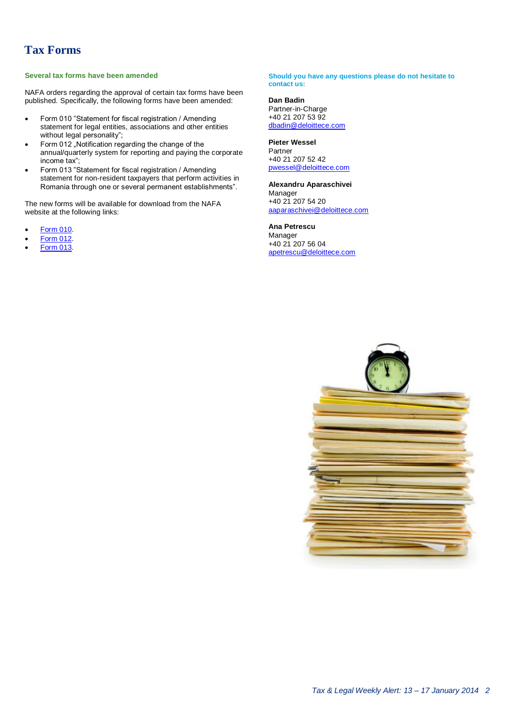## <span id="page-1-0"></span>**Tax Forms**

#### **Several tax forms have been amended**

NAFA orders regarding the approval of certain tax forms have been published. Specifically, the following forms have been amended:

- Form 010 "Statement for fiscal registration / Amending statement for legal entities, associations and other entities without legal personality";
- Form 012 "Notification regarding the change of the annual/quarterly system for reporting and paying the corporate income tax";
- Form 013 "Statement for fiscal registration / Amending statement for non-resident taxpayers that perform activities in Romania through one or several permanent establishments".

The new forms will be available for download from the NAFA website at the following links:

- [Form 010.](http://static.anaf.ro/static/10/Anaf/formulare/dec_010_2013.pdf)
- [Form 012.](http://static.anaf.ro/static/10/Anaf/formulare/Notif_012_2012.pdf)
- [Form 013.](http://static.anaf.ro/static/10/Anaf/formulare/dec_013_2013.pdf)

#### **Should you have any questions please do not hesitate to contact us:**

**Dan Badin**

Partner-in-Charge +40 21 207 53 92 [dbadin@deloittece.com](mailto:dbadin@deloittece.com)

#### **Pieter Wessel**

Partner +40 21 207 52 42 [pwessel@deloittece.com](mailto:pwessel@deloittece.com)

#### **Alexandru Aparaschivei**

Manager +40 21 207 54 20 [aaparaschivei@deloittece.com](mailto:aaparaschivei@deloittece.com)

**Ana Petrescu**

Manager +40 21 207 56 04 [apetrescu@deloittece.com](mailto:apetrescu@deloittece.com)

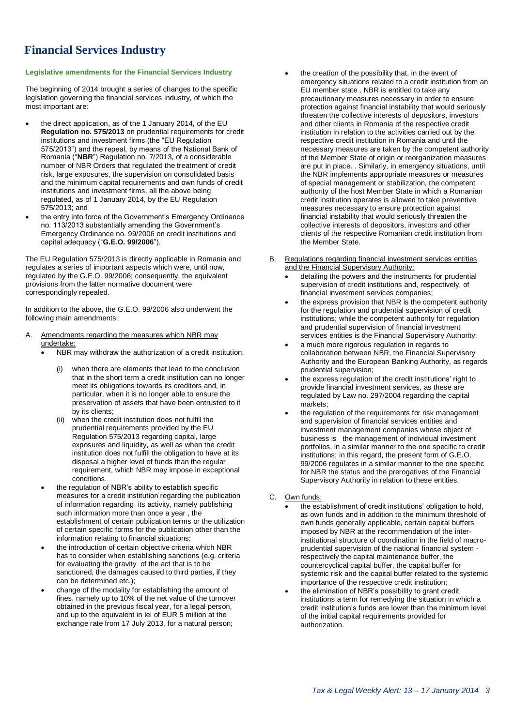## <span id="page-2-0"></span>**Financial Services Industry**

#### **Legislative amendments for the Financial Services Industry**

The beginning of 2014 brought a series of changes to the specific legislation governing the financial services industry, of which the most important are:

- the direct application, as of the 1 January 2014, of the EU **Regulation no. 575/2013** on prudential requirements for credit institutions and investment firms (the "EU Regulation 575/2013") and the repeal, by means of the National Bank of Romania ("**NBR**") Regulation no. 7/2013, of a considerable number of NBR Orders that regulated the treatment of credit risk, large exposures, the supervision on consolidated basis and the minimum capital requirements and own funds of credit institutions and investment firms, all the above being regulated, as of 1 January 2014, by the EU Regulation 575/2013; and
- the entry into force of the Government's Emergency Ordinance no. 113/2013 substantially amending the Government's Emergency Ordinance no. 99/2006 on credit institutions and capital adequacy ("**G.E.O. 99/2006**").

The EU Regulation 575/2013 is directly applicable in Romania and regulates a series of important aspects which were, until now, regulated by the G.E.O. 99/2006; consequently, the equivalent provisions from the latter normative document were correspondingly repealed.

In addition to the above, the G.E.O. 99/2006 also underwent the following main amendments:

- A. Amendments regarding the measures which NBR may undertake:
	- NBR may withdraw the authorization of a credit institution:
		- (i) when there are elements that lead to the conclusion that in the short term a credit institution can no longer meet its obligations towards its creditors and, in particular, when it is no longer able to ensure the preservation of assets that have been entrusted to it by its clients;
		- (ii) when the credit institution does not fulfill the prudential requirements provided by the EU Regulation 575/2013 regarding capital, large exposures and liquidity, as well as when the credit institution does not fulfill the obligation to have at its disposal a higher level of funds than the regular requirement, which NBR may impose in exceptional conditions.
	- the regulation of NBR's ability to establish specific measures for a credit institution regarding the publication of information regarding its activity, namely publishing such information more than once a year , the establishment of certain publication terms or the utilization of certain specific forms for the publication other than the information relating to financial situations;
	- the introduction of certain objective criteria which NBR has to consider when establishing sanctions (e.g. criteria for evaluating the gravity of the act that is to be sanctioned, the damages caused to third parties, if they can be determined etc.);
	- change of the modality for establishing the amount of fines, namely up to 10% of the net value of the turnover obtained in the previous fiscal year, for a legal person, and up to the equivalent in lei of EUR 5 million at the exchange rate from 17 July 2013, for a natural person;
- the creation of the possibility that, in the event of emergency situations related to a credit institution from an EU member state , NBR is entitled to take any precautionary measures necessary in order to ensure protection against financial instability that would seriously threaten the collective interests of depositors, investors and other clients in Romania of the respective credit institution in relation to the activities carried out by the respective credit institution in Romania and until the necessary measures are taken by the competent authority of the Member State of origin or reorganization measures are put in place. . Similarly, in emergency situations, until the NBR implements appropriate measures or measures of special management or stabilization, the competent authority of the host Member State in which a Romanian credit institution operates is allowed to take preventive measures necessary to ensure protection against financial instability that would seriously threaten the collective interests of depositors, investors and other clients of the respective Romanian credit institution from the Member State.
- B. Regulations regarding financial investment services entities and the Financial Supervisory Authority:
	- detailing the powers and the instruments for prudential supervision of credit institutions and, respectively, of financial investment services companies;
	- the express provision that NBR is the competent authority for the regulation and prudential supervision of credit institutions; while the competent authority for regulation and prudential supervision of financial investment services entities is the Financial Supervisory Authority;
	- a much more rigorous regulation in regards to collaboration between NBR, the Financial Supervisory Authority and the European Banking Authority, as regards prudential supervision;
	- the express regulation of the credit institutions' right to provide financial investment services, as these are regulated by Law no. 297/2004 regarding the capital markets;
	- the regulation of the requirements for risk management and supervision of financial services entities and investment management companies whose object of business is the management of individual investment portfolios, in a similar manner to the one specific to credit institutions; in this regard, the present form of G.E.O. 99/2006 regulates in a similar manner to the one specific for NBR the status and the prerogatives of the Financial Supervisory Authority in relation to these entities.
- C. Own funds:
	- the establishment of credit institutions' obligation to hold, as own funds and in addition to the minimum threshold of own funds generally applicable, certain capital buffers imposed by NBR at the recommendation of the interinstitutional structure of coordination in the field of macroprudential supervision of the national financial system respectively the capital maintenance buffer, the countercyclical capital buffer, the capital buffer for systemic risk and the capital buffer related to the systemic importance of the respective credit institution;
	- the elimination of NBR's possibility to grant credit institutions a term for remedying the situation in which a credit institution's funds are lower than the minimum level of the initial capital requirements provided for authorization.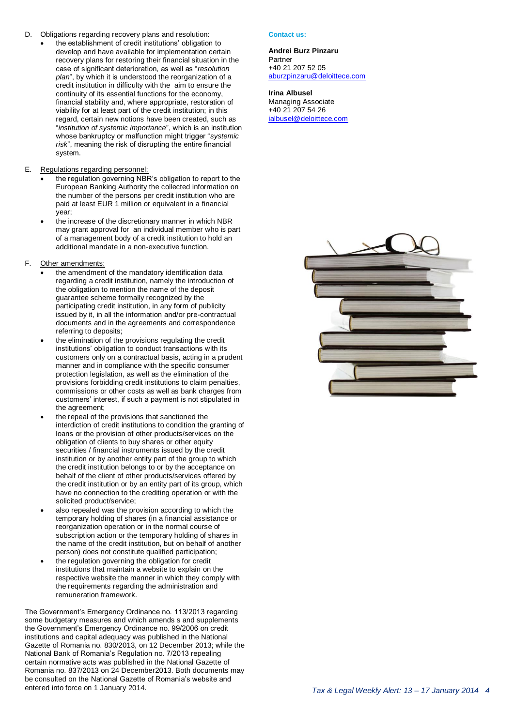#### D. Obligations regarding recovery plans and resolution:

- the establishment of credit institutions' obligation to develop and have available for implementation certain recovery plans for restoring their financial situation in the case of significant deterioration, as well as "*resolution plan*", by which it is understood the reorganization of a credit institution in difficulty with the aim to ensure the continuity of its essential functions for the economy, financial stability and, where appropriate, restoration of viability for at least part of the credit institution; in this regard, certain new notions have been created, such as "*institution of systemic importance*", which is an institution whose bankruptcy or malfunction might trigger "*systemic risk*", meaning the risk of disrupting the entire financial system.
- E. Regulations regarding personnel:
	- the regulation governing NBR's obligation to report to the European Banking Authority the collected information on the number of the persons per credit institution who are paid at least EUR 1 million or equivalent in a financial year;
	- the increase of the discretionary manner in which NBR may grant approval for an individual member who is part of a management body of a credit institution to hold an additional mandate in a non-executive function.
- F. Other amendments:
	- the amendment of the mandatory identification data regarding a credit institution, namely the introduction of the obligation to mention the name of the deposit guarantee scheme formally recognized by the participating credit institution, in any form of publicity issued by it, in all the information and/or pre-contractual documents and in the agreements and correspondence referring to deposits;
	- the elimination of the provisions regulating the credit institutions' obligation to conduct transactions with its customers only on a contractual basis, acting in a prudent manner and in compliance with the specific consumer protection legislation, as well as the elimination of the provisions forbidding credit institutions to claim penalties, commissions or other costs as well as bank charges from customers' interest, if such a payment is not stipulated in the agreement;
	- the repeal of the provisions that sanctioned the interdiction of credit institutions to condition the granting of loans or the provision of other products/services on the obligation of clients to buy shares or other equity securities / financial instruments issued by the credit institution or by another entity part of the group to which the credit institution belongs to or by the acceptance on behalf of the client of other products/services offered by the credit institution or by an entity part of its group, which have no connection to the crediting operation or with the solicited product/service;
	- also repealed was the provision according to which the temporary holding of shares (in a financial assistance or reorganization operation or in the normal course of subscription action or the temporary holding of shares in the name of the credit institution, but on behalf of another person) does not constitute qualified participation;
	- the regulation governing the obligation for credit institutions that maintain a website to explain on the respective website the manner in which they comply with the requirements regarding the administration and remuneration framework.

The Government's Emergency Ordinance no. 113/2013 regarding some budgetary measures and which amends s and supplements the Government's Emergency Ordinance no. 99/2006 on credit institutions and capital adequacy was published in the National Gazette of Romania no. 830/2013, on 12 December 2013; while the National Bank of Romania's Regulation no. 7/2013 repealing certain normative acts was published in the National Gazette of Romania no. 837/2013 on 24 December2013. Both documents may be consulted on the National Gazette of Romania's website and entered into force on 1 January 2014.

#### **Contact us:**

#### **Andrei Burz Pinzaru**

Partner +40 21 207 52 05 [aburzpinzaru@deloittece.com](mailto:aburzpinzaru@deloittece.com)

#### **Irina Albusel**

Managing Associate +40 21 207 54 26 [ialbusel@deloittece.com](mailto:ialbusel@deloittece.com)